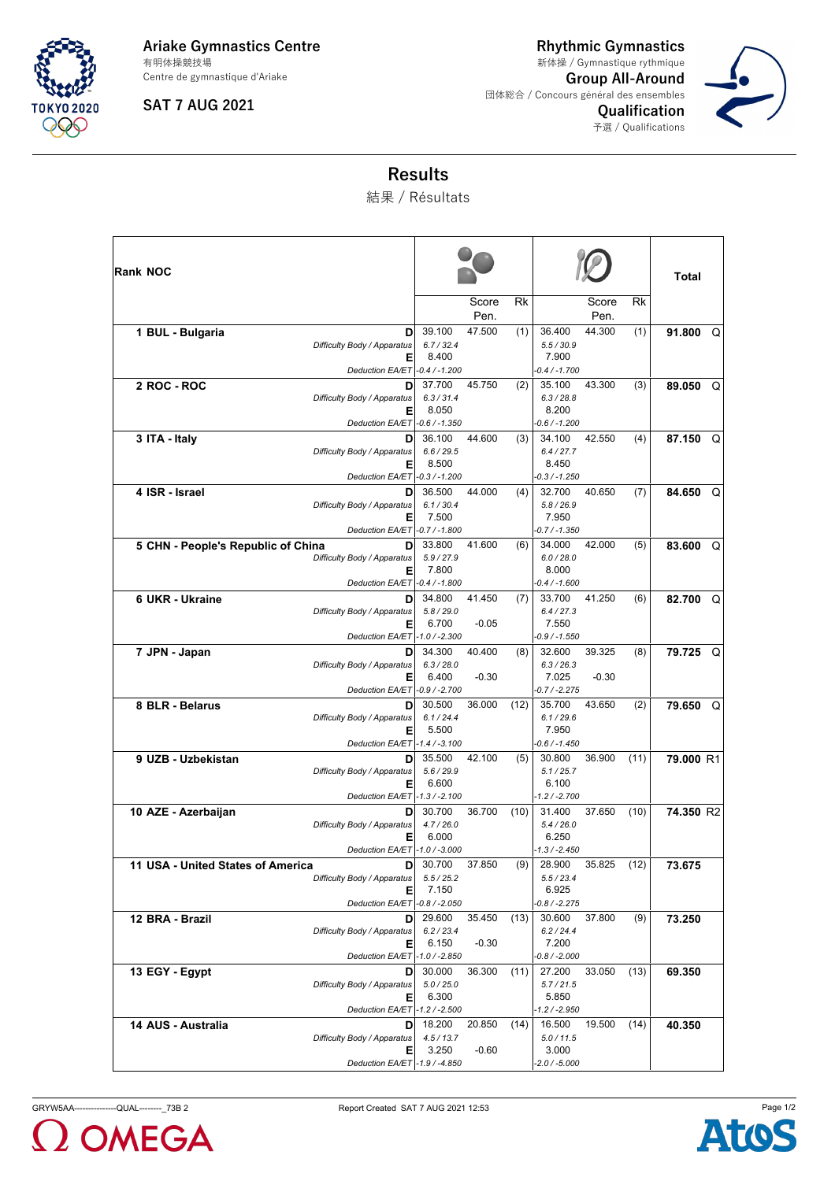

**Ariake Gymnastics Centre** Centre de gymnastique d'Ariake 有明体操競技場

**SAT 7 AUG 2021**

**Rhythmic Gymnastics Group All-Around** 団体総合 / Concours général des ensembles **Qualification** 予選 / Qualifications 新体操 / Gymnastique rythmique



## **Results**

結果 / Résultats

| <b>Rank NOC</b>                                                                                               |                               | Score             | Rk   |                                                  | Score         | Rk   | Total       |
|---------------------------------------------------------------------------------------------------------------|-------------------------------|-------------------|------|--------------------------------------------------|---------------|------|-------------|
|                                                                                                               |                               | Pen.              |      |                                                  | Pen.          |      |             |
| 1 BUL - Bulgaria<br>D<br>Difficulty Body / Apparatus                                                          | 39.100<br>6.7 / 32.4          | 47.500            | (1)  | 36.400<br>5.5 / 30.9                             | 44.300        | (1)  | 91.800<br>Q |
| Е<br>Deduction EA/ET -0.4 / -1.200                                                                            | 8.400                         |                   |      | 7.900<br>$-0.4 / -1.700$                         |               |      |             |
| 2 ROC - ROC<br>D<br>Difficulty Body / Apparatus<br>Е                                                          | 37.700<br>6.3 / 31.4<br>8.050 | 45.750            | (2)  | 35.100<br>6.3 / 28.8<br>8.200                    | 43.300        | (3)  | 89.050<br>Q |
| Deduction EA/ET -0.6 / -1.350                                                                                 |                               |                   |      | $-0.6 / -1.200$                                  |               |      |             |
| 3 ITA - Italy<br>D<br>Difficulty Body / Apparatus<br>Е                                                        | 36.100<br>6.6 / 29.5<br>8.500 | 44.600            | (3)  | 34.100<br>6.4 / 27.7<br>8.450                    | 42.550        | (4)  | 87.150<br>Q |
| Deduction EA/ET -0.3 / -1.200                                                                                 |                               |                   |      | $-0.3 / -1.250$                                  |               |      |             |
| 4 ISR - Israel<br>D<br>Difficulty Body / Apparatus<br>Е<br>Deduction EA/ET -0.7 / -1.800                      | 36.500<br>6.1 / 30.4<br>7.500 | 44.000            | (4)  | 32.700<br>5.8 / 26.9<br>7.950<br>$-0.7 / -1.350$ | 40.650        | (7)  | Q<br>84.650 |
| 5 CHN - People's Republic of China<br>D<br>Difficulty Body / Apparatus<br>Е                                   | 33.800<br>5.9 / 27.9<br>7.800 | 41.600            | (6)  | 34.000<br>6.0 / 28.0<br>8.000                    | 42.000        | (5)  | 83.600<br>Q |
| Deduction EA/ET -0.4 / -1.800                                                                                 |                               |                   |      | $-0.4 / -1.600$                                  |               |      |             |
| 6 UKR - Ukraine<br>D<br>Difficulty Body / Apparatus<br>Е                                                      | 34.800<br>5.8 / 29.0<br>6.700 | 41.450<br>$-0.05$ | (7)  | 33.700<br>6.4 / 27.3<br>7.550                    | 41.250        | (6)  | 82.700<br>Q |
| Deduction EA/ET -1.0 / -2.300                                                                                 |                               | 40.400            |      | $-0.9 / -1.550$                                  | 39.325        |      |             |
| 7 JPN - Japan<br>D<br>Difficulty Body / Apparatus<br>Е<br>Deduction EA/ET -0.9 / -2.700                       | 34.300<br>6.3 / 28.0<br>6.400 | $-0.30$           | (8)  | 32.600<br>6.3 / 26.3<br>7.025<br>$-0.7 / -2.275$ | $-0.30$       | (8)  | 79.725<br>Q |
| 8 BLR - Belarus<br>D<br>Difficulty Body / Apparatus<br>Е                                                      | 30.500<br>6.1 / 24.4<br>5.500 | 36.000            | (12) | 35.700<br>6.1 / 29.6<br>7.950                    | 43.650        | (2)  | 79.650<br>Q |
| Deduction EA/ET -1.4 / -3.100                                                                                 |                               |                   |      | $-0.6 / -1.450$                                  |               |      |             |
| 9 UZB - Uzbekistan<br>D<br>Difficulty Body / Apparatus<br>Е<br>Deduction EA/ET -1.3 / -2.100                  | 35.500<br>5.6 / 29.9<br>6.600 | 42.100            | (5)  | 30.800<br>5.1 / 25.7<br>6.100<br>$-1.2 / -2.700$ | 36.900        | (11) | 79.000 R1   |
| 10 AZE - Azerbaijan<br>D<br>Difficulty Body / Apparatus<br>Е                                                  | 30.700<br>4.7/26.0<br>6.000   | 36.700            | (10) | 31.400<br>5.4/26.0<br>6.250                      | 37.650        | (10) | 74.350 R2   |
| Deduction EA/ET  -1.0 / -3.000                                                                                |                               |                   |      | -1.3 / -2.450                                    |               |      |             |
| 11 USA - United States of America<br>D<br>Difficulty Body / Apparatus<br>Е<br>Deduction EA/ET - 0.8 / - 2.050 | 30.700<br>5.5 / 25.2<br>7.150 | 37.850            | (9)  | 28.900<br>5.5 / 23.4<br>6.925<br>$-0.8 / -2.275$ | 35.825 $(12)$ |      | 73.675      |
| 12 BRA - Brazil<br>D<br>Difficulty Body / Apparatus<br>Ε                                                      | 29.600<br>6.2 / 23.4<br>6.150 | 35.450<br>$-0.30$ | (13) | 30.600<br>6.2 / 24.4<br>7.200                    | 37.800        | (9)  | 73.250      |
| Deduction EA/ET -1.0 / -2.850                                                                                 |                               |                   |      | $-0.8 / -2.000$                                  |               |      |             |
| 13 EGY - Egypt<br>D<br>Difficulty Body / Apparatus<br>Е<br>Deduction EA/ET -1.2 / -2.500                      | 30.000<br>5.0 / 25.0<br>6.300 | 36.300            | (11) | 27.200<br>5.7/21.5<br>5.850<br>-1.2 / -2.950     | 33.050        | (13) | 69.350      |
| 14 AUS - Australia<br>D                                                                                       | 18.200                        | 20.850            | (14) | 16.500                                           | 19.500        | (14) |             |
| Difficulty Body / Apparatus<br>Е                                                                              | 4.5 / 13.7<br>3.250           | -0.60             |      | 5.0 / 11.5<br>3.000                              |               |      | 40.350      |
| Deduction EA/ET -1.9 / -4.850                                                                                 |                               |                   |      | $-2.0 / -5.000$                                  |               |      |             |

**OMEGA**